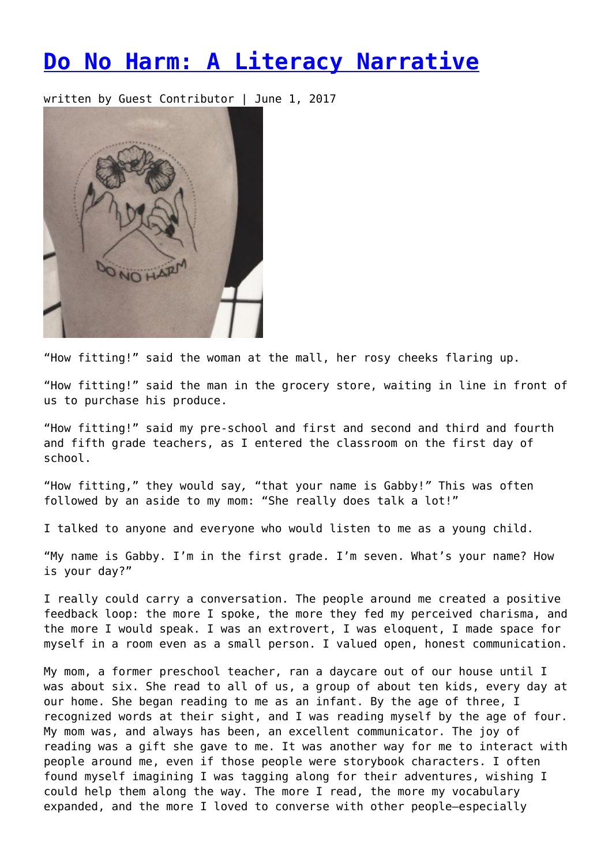## **[Do No Harm: A Literacy Narrative](https://entropymag.org/do-no-harm-a-literacy-narrative/)**

written by Guest Contributor | June 1, 2017



"How fitting!" said the woman at the mall, her rosy cheeks flaring up.

"How fitting!" said the man in the grocery store, waiting in line in front of us to purchase his produce.

"How fitting!" said my pre-school and first and second and third and fourth and fifth grade teachers, as I entered the classroom on the first day of school.

"How fitting," they would say*,* "that your name is Gabby!*"* This was often followed by an aside to my mom: "She really does talk a lot!"

I talked to anyone and everyone who would listen to me as a young child.

"My name is Gabby. I'm in the first grade. I'm seven. What's your name? How is your day?"

I really could carry a conversation. The people around me created a positive feedback loop: the more I spoke, the more they fed my perceived charisma, and the more I would speak. I was an extrovert, I was eloquent, I made space for myself in a room even as a small person. I valued open, honest communication.

My mom, a former preschool teacher, ran a daycare out of our house until I was about six. She read to all of us, a group of about ten kids, every day at our home. She began reading to me as an infant. By the age of three, I recognized words at their sight, and I was reading myself by the age of four. My mom was, and always has been, an excellent communicator. The joy of reading was a gift she gave to me. It was another way for me to interact with people around me, even if those people were storybook characters. I often found myself imagining I was tagging along for their adventures, wishing I could help them along the way. The more I read, the more my vocabulary expanded, and the more I loved to converse with other people—especially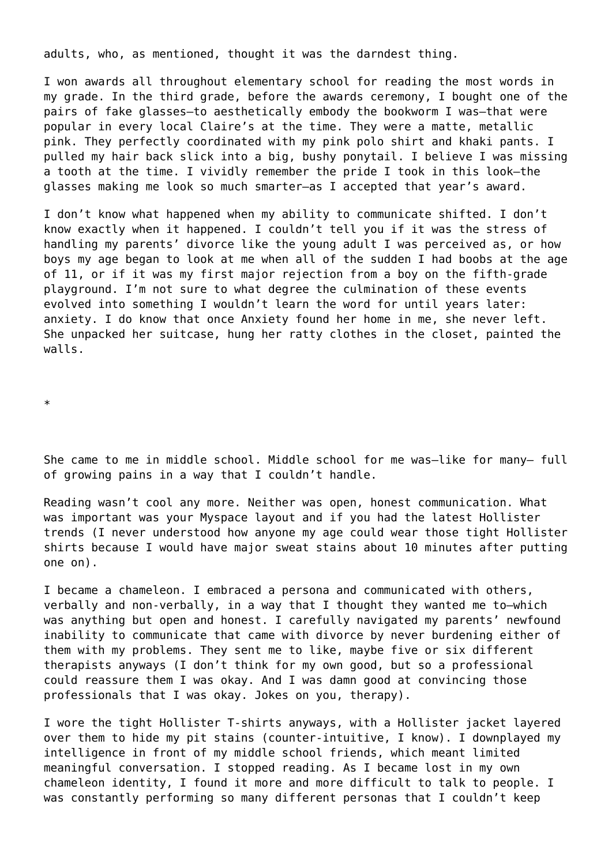adults, who, as mentioned, thought it was the darndest thing.

I won awards all throughout elementary school for reading the most words in my grade. In the third grade, before the awards ceremony, I bought one of the pairs of fake glasses—to aesthetically embody the bookworm I was—that were popular in every local Claire's at the time. They were a matte, metallic pink. They perfectly coordinated with my pink polo shirt and khaki pants. I pulled my hair back slick into a big, bushy ponytail. I believe I was missing a tooth at the time. I vividly remember the pride I took in this look—the glasses making me look so much smarter—as I accepted that year's award.

I don't know what happened when my ability to communicate shifted. I don't know exactly when it happened. I couldn't tell you if it was the stress of handling my parents' divorce like the young adult I was perceived as, or how boys my age began to look at me when all of the sudden I had boobs at the age of 11, or if it was my first major rejection from a boy on the fifth-grade playground. I'm not sure to what degree the culmination of these events evolved into something I wouldn't learn the word for until years later: anxiety. I do know that once Anxiety found her home in me, she never left. She unpacked her suitcase, hung her ratty clothes in the closet, painted the walls.

\*

She came to me in middle school. Middle school for me was-like for many- full of growing pains in a way that I couldn't handle.

Reading wasn't cool any more. Neither was open, honest communication. What was important was your Myspace layout and if you had the latest Hollister trends (I never understood how anyone my age could wear those tight Hollister shirts because I would have major sweat stains about 10 minutes after putting one on).

I became a chameleon. I embraced a persona and communicated with others, verbally and non-verbally, in a way that I thought they wanted me to—which was anything but open and honest. I carefully navigated my parents' newfound inability to communicate that came with divorce by never burdening either of them with my problems. They sent me to like, maybe five or six different therapists anyways (I don't think for my own good, but so a professional could reassure them I was okay. And I was damn good at convincing those professionals that I was okay. Jokes on you, therapy).

I wore the tight Hollister T-shirts anyways, with a Hollister jacket layered over them to hide my pit stains (counter-intuitive, I know). I downplayed my intelligence in front of my middle school friends, which meant limited meaningful conversation. I stopped reading. As I became lost in my own chameleon identity, I found it more and more difficult to talk to people. I was constantly performing so many different personas that I couldn't keep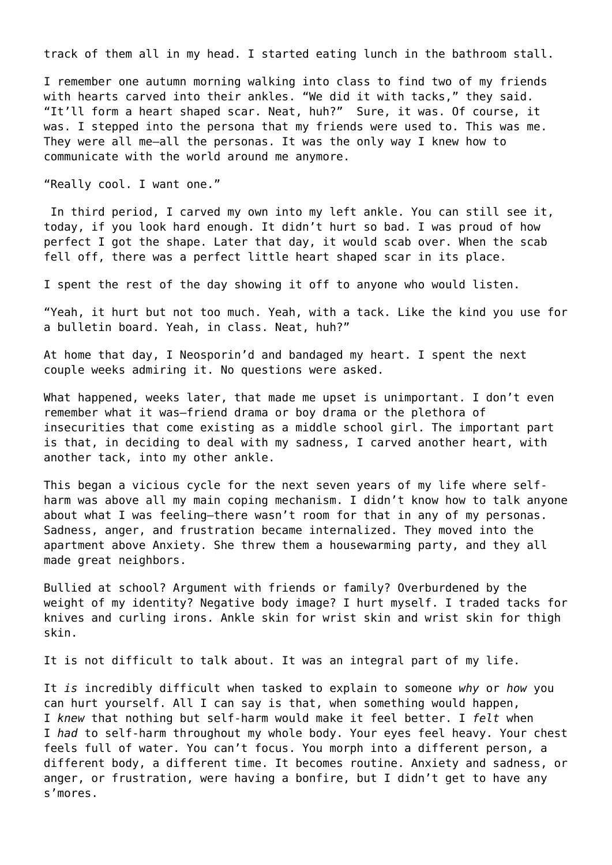track of them all in my head. I started eating lunch in the bathroom stall.

I remember one autumn morning walking into class to find two of my friends with hearts carved into their ankles. "We did it with tacks," they said. "It'll form a heart shaped scar. Neat, huh?"Sure, it was. Of course, it was. I stepped into the persona that my friends were used to. This was me. They were all me—all the personas. It was the only way I knew how to communicate with the world around me anymore.

"Really cool. I want one."

 In third period, I carved my own into my left ankle. You can still see it, today, if you look hard enough. It didn't hurt so bad. I was proud of how perfect I got the shape. Later that day, it would scab over. When the scab fell off, there was a perfect little heart shaped scar in its place.

I spent the rest of the day showing it off to anyone who would listen.

"Yeah, it hurt but not too much. Yeah, with a tack. Like the kind you use for a bulletin board. Yeah, in class. Neat, huh?"

At home that day, I Neosporin'd and bandaged my heart. I spent the next couple weeks admiring it. No questions were asked.

What happened, weeks later, that made me upset is unimportant. I don't even remember what it was—friend drama or boy drama or the plethora of insecurities that come existing as a middle school girl. The important part is that, in deciding to deal with my sadness, I carved another heart, with another tack, into my other ankle.

This began a vicious cycle for the next seven years of my life where selfharm was above all my main coping mechanism. I didn't know how to talk anyone about what I was feeling—there wasn't room for that in any of my personas. Sadness, anger, and frustration became internalized. They moved into the apartment above Anxiety. She threw them a housewarming party, and they all made great neighbors.

Bullied at school? Argument with friends or family? Overburdened by the weight of my identity? Negative body image? I hurt myself. I traded tacks for knives and curling irons. Ankle skin for wrist skin and wrist skin for thigh skin.

It is not difficult to talk about. It was an integral part of my life.

It *is* incredibly difficult when tasked to explain to someone *why* or *how* you can hurt yourself. All I can say is that, when something would happen, I *knew* that nothing but self-harm would make it feel better. I *felt* when I *had* to self-harm throughout my whole body. Your eyes feel heavy. Your chest feels full of water. You can't focus. You morph into a different person, a different body, a different time. It becomes routine. Anxiety and sadness, or anger, or frustration, were having a bonfire, but I didn't get to have any s'mores.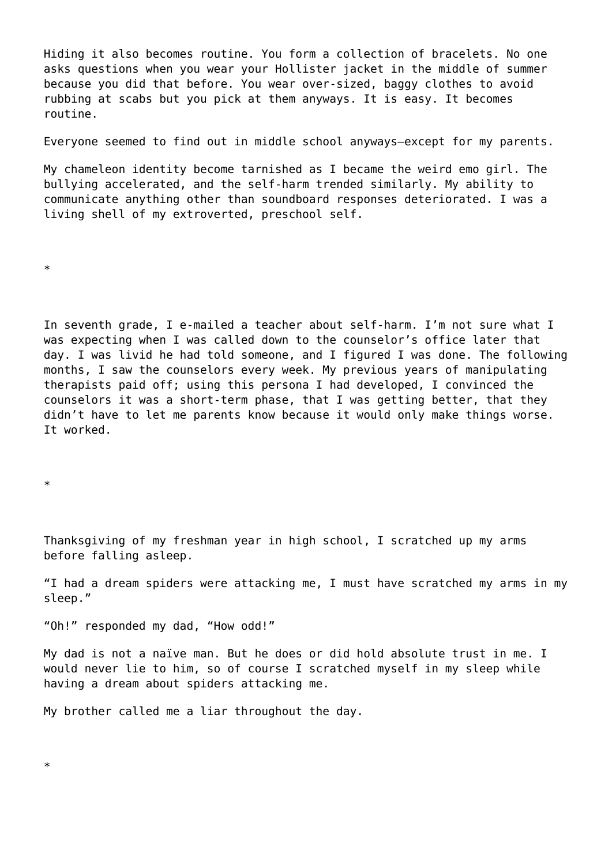Hiding it also becomes routine. You form a collection of bracelets. No one asks questions when you wear your Hollister jacket in the middle of summer because you did that before. You wear over-sized, baggy clothes to avoid rubbing at scabs but you pick at them anyways. It is easy. It becomes routine.

Everyone seemed to find out in middle school anyways—except for my parents.

My chameleon identity become tarnished as I became the weird emo girl. The bullying accelerated, and the self-harm trended similarly. My ability to communicate anything other than soundboard responses deteriorated. I was a living shell of my extroverted, preschool self.

\*

In seventh grade, I e-mailed a teacher about self-harm. I'm not sure what I was expecting when I was called down to the counselor's office later that day. I was livid he had told someone, and I figured I was done. The following months, I saw the counselors every week. My previous years of manipulating therapists paid off; using this persona I had developed, I convinced the counselors it was a short-term phase, that I was getting better, that they didn't have to let me parents know because it would only make things worse. It worked.

\*

Thanksgiving of my freshman year in high school, I scratched up my arms before falling asleep.

"I had a dream spiders were attacking me, I must have scratched my arms in my sleep."

"Oh!" responded my dad, "How odd!"

My dad is not a naïve man. But he does or did hold absolute trust in me. I would never lie to him, so of course I scratched myself in my sleep while having a dream about spiders attacking me.

My brother called me a liar throughout the day.

\*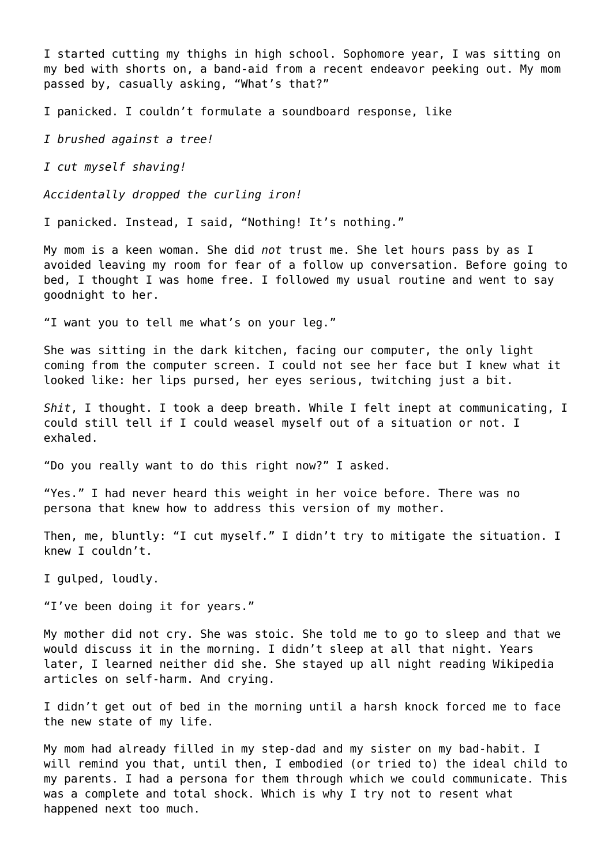I started cutting my thighs in high school. Sophomore year, I was sitting on my bed with shorts on, a band-aid from a recent endeavor peeking out. My mom passed by, casually asking, "What's that?"

I panicked. I couldn't formulate a soundboard response, like

*I brushed against a tree!*

*I cut myself shaving!*

*Accidentally dropped the curling iron!*

I panicked. Instead, I said, "Nothing! It's nothing."

My mom is a keen woman. She did *not* trust me. She let hours pass by as I avoided leaving my room for fear of a follow up conversation. Before going to bed, I thought I was home free. I followed my usual routine and went to say goodnight to her.

"I want you to tell me what's on your leg."

She was sitting in the dark kitchen, facing our computer, the only light coming from the computer screen. I could not see her face but I knew what it looked like: her lips pursed, her eyes serious, twitching just a bit.

*Shit*, I thought. I took a deep breath. While I felt inept at communicating, I could still tell if I could weasel myself out of a situation or not. I exhaled.

"Do you really want to do this right now?" I asked.

"Yes." I had never heard this weight in her voice before. There was no persona that knew how to address this version of my mother.

Then, me, bluntly: "I cut myself." I didn't try to mitigate the situation. I knew I couldn't.

I gulped, loudly.

"I've been doing it for years."

My mother did not cry. She was stoic. She told me to go to sleep and that we would discuss it in the morning. I didn't sleep at all that night. Years later, I learned neither did she. She stayed up all night reading Wikipedia articles on self-harm. And crying.

I didn't get out of bed in the morning until a harsh knock forced me to face the new state of my life.

My mom had already filled in my step-dad and my sister on my bad-habit. I will remind you that, until then, I embodied (or tried to) the ideal child to my parents. I had a persona for them through which we could communicate. This was a complete and total shock. Which is why I try not to resent what happened next too much.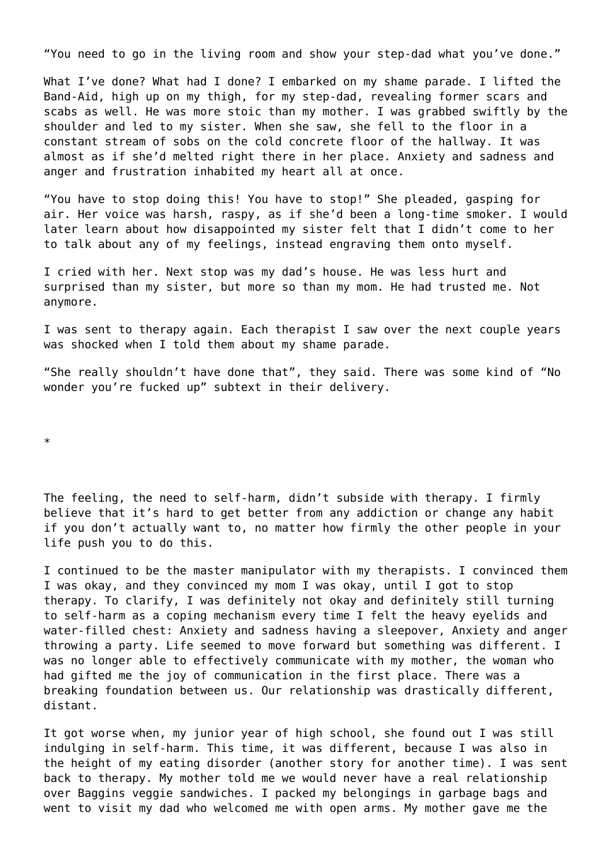"You need to go in the living room and show your step-dad what you've done."

What I've done? What had I done? I embarked on my shame parade. I lifted the Band-Aid, high up on my thigh, for my step-dad, revealing former scars and scabs as well. He was more stoic than my mother. I was grabbed swiftly by the shoulder and led to my sister. When she saw, she fell to the floor in a constant stream of sobs on the cold concrete floor of the hallway. It was almost as if she'd melted right there in her place. Anxiety and sadness and anger and frustration inhabited my heart all at once.

"You have to stop doing this! You have to stop!" She pleaded, gasping for air. Her voice was harsh, raspy, as if she'd been a long-time smoker. I would later learn about how disappointed my sister felt that I didn't come to her to talk about any of my feelings, instead engraving them onto myself.

I cried with her. Next stop was my dad's house. He was less hurt and surprised than my sister, but more so than my mom. He had trusted me. Not anymore.

I was sent to therapy again. Each therapist I saw over the next couple years was shocked when I told them about my shame parade.

"She really shouldn't have done that", they said. There was some kind of "No wonder you're fucked up" subtext in their delivery.

\*

The feeling, the need to self-harm, didn't subside with therapy. I firmly believe that it's hard to get better from any addiction or change any habit if you don't actually want to, no matter how firmly the other people in your life push you to do this.

I continued to be the master manipulator with my therapists. I convinced them I was okay, and they convinced my mom I was okay, until I got to stop therapy. To clarify, I was definitely not okay and definitely still turning to self-harm as a coping mechanism every time I felt the heavy eyelids and water-filled chest: Anxiety and sadness having a sleepover, Anxiety and anger throwing a party. Life seemed to move forward but something was different. I was no longer able to effectively communicate with my mother, the woman who had gifted me the joy of communication in the first place. There was a breaking foundation between us. Our relationship was drastically different, distant.

It got worse when, my junior year of high school, she found out I was still indulging in self-harm. This time, it was different, because I was also in the height of my eating disorder (another story for another time). I was sent back to therapy. My mother told me we would never have a real relationship over Baggins veggie sandwiches. I packed my belongings in garbage bags and went to visit my dad who welcomed me with open arms. My mother gave me the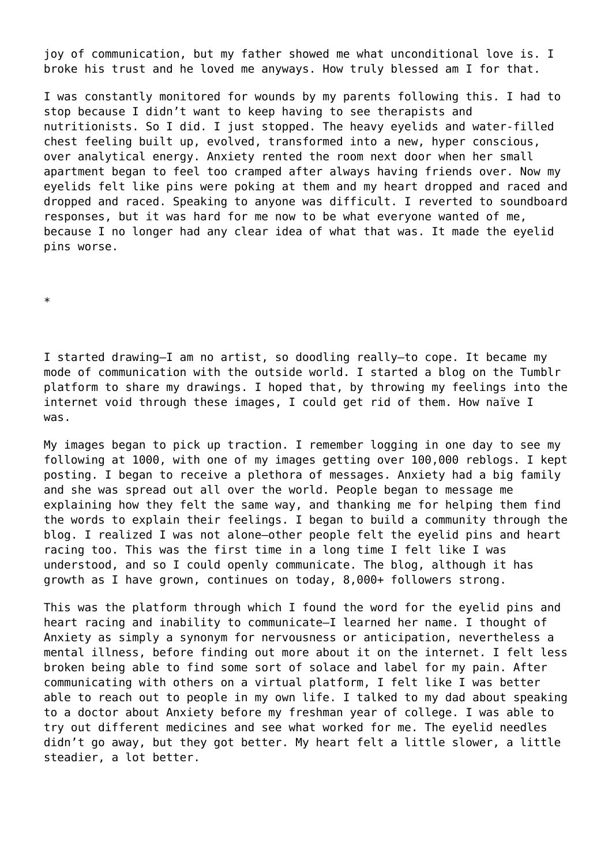joy of communication, but my father showed me what unconditional love is. I broke his trust and he loved me anyways. How truly blessed am I for that.

I was constantly monitored for wounds by my parents following this. I had to stop because I didn't want to keep having to see therapists and nutritionists. So I did. I just stopped. The heavy eyelids and water-filled chest feeling built up, evolved, transformed into a new, hyper conscious, over analytical energy. Anxiety rented the room next door when her small apartment began to feel too cramped after always having friends over. Now my eyelids felt like pins were poking at them and my heart dropped and raced and dropped and raced. Speaking to anyone was difficult. I reverted to soundboard responses, but it was hard for me now to be what everyone wanted of me, because I no longer had any clear idea of what that was. It made the eyelid pins worse.

\*

I started drawing—I am no artist, so doodling really—to cope. It became my mode of communication with the outside world. I started a blog on the Tumblr platform to share my drawings. I hoped that, by throwing my feelings into the internet void through these images, I could get rid of them. How naïve I was.

My images began to pick up traction. I remember logging in one day to see my following at 1000, with one of my images getting over 100,000 reblogs. I kept posting. I began to receive a plethora of messages. Anxiety had a big family and she was spread out all over the world. People began to message me explaining how they felt the same way, and thanking me for helping them find the words to explain their feelings. I began to build a community through the blog. I realized I was not alone—other people felt the eyelid pins and heart racing too. This was the first time in a long time I felt like I was understood, and so I could openly communicate. The blog, although it has growth as I have grown, continues on today, 8,000+ followers strong.

This was the platform through which I found the word for the eyelid pins and heart racing and inability to communicate—I learned her name. I thought of Anxiety as simply a synonym for nervousness or anticipation, nevertheless a mental illness, before finding out more about it on the internet. I felt less broken being able to find some sort of solace and label for my pain. After communicating with others on a virtual platform, I felt like I was better able to reach out to people in my own life. I talked to my dad about speaking to a doctor about Anxiety before my freshman year of college. I was able to try out different medicines and see what worked for me. The eyelid needles didn't go away, but they got better. My heart felt a little slower, a little steadier, a lot better.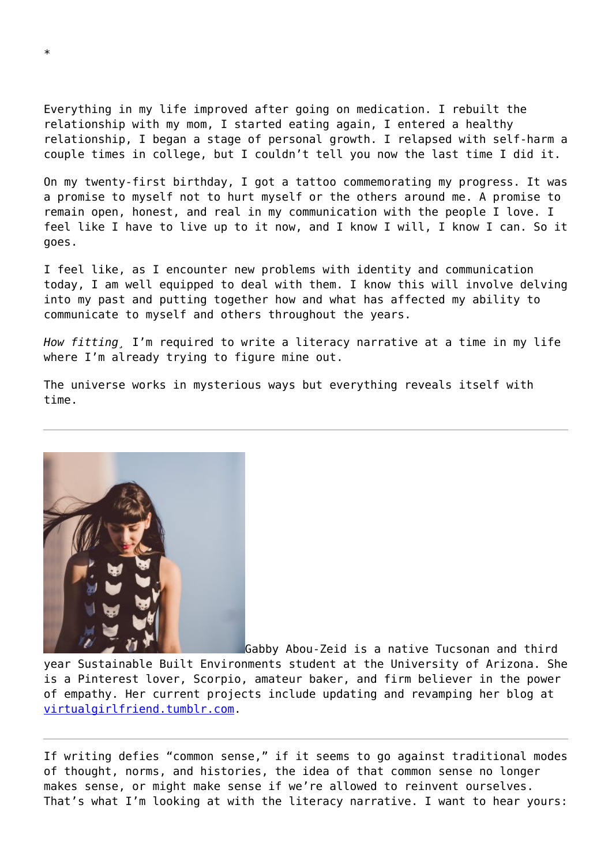Everything in my life improved after going on medication. I rebuilt the relationship with my mom, I started eating again, I entered a healthy relationship, I began a stage of personal growth. I relapsed with self-harm a couple times in college, but I couldn't tell you now the last time I did it.

On my twenty-first birthday, I got a tattoo commemorating my progress. It was a promise to myself not to hurt myself or the others around me. A promise to remain open, honest, and real in my communication with the people I love. I feel like I have to live up to it now, and I know I will, I know I can. So it goes.

I feel like, as I encounter new problems with identity and communication today, I am well equipped to deal with them. I know this will involve delving into my past and putting together how and what has affected my ability to communicate to myself and others throughout the years.

*How fitting¸* I'm required to write a literacy narrative at a time in my life where I'm already trying to figure mine out.

The universe works in mysterious ways but everything reveals itself with time.



Gabby Abou-Zeid is a native Tucsonan and third year Sustainable Built Environments student at the University of Arizona. She is a Pinterest lover, Scorpio, amateur baker, and firm believer in the power of empathy. Her current projects include updating and revamping her blog at [virtualgirlfriend.tumblr.com.](http://virtualgirlfriend.tumblr.com/)

If writing defies "common sense," if it seems to go against traditional modes of thought, norms, and histories, the idea of that common sense no longer makes sense, or might make sense if we're allowed to reinvent ourselves. That's what I'm looking at with the literacy narrative. I want to hear yours: